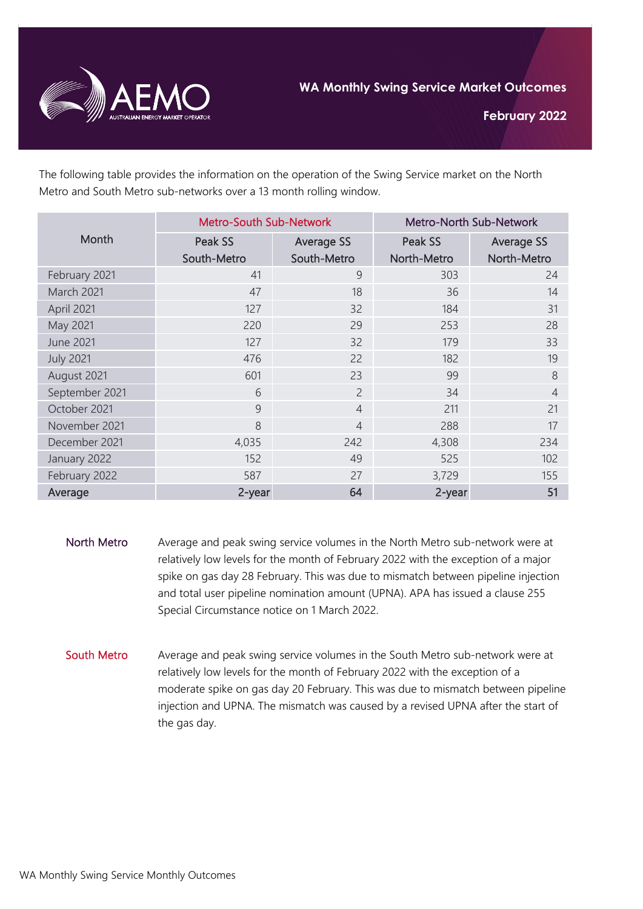

**February 2022**

The following table provides the information on the operation of the Swing Service market on the North Metro and South Metro sub-networks over a 13 month rolling window.

| Month            | <b>Metro-South Sub-Network</b> |                   | Metro-North Sub-Network |                   |
|------------------|--------------------------------|-------------------|-------------------------|-------------------|
|                  | Peak SS                        | <b>Average SS</b> | Peak SS                 | <b>Average SS</b> |
|                  | South-Metro                    | South-Metro       | North-Metro             | North-Metro       |
| February 2021    | 41                             | 9                 | 303                     | 24                |
| March 2021       | 47                             | 18                | 36                      | 14                |
| April 2021       | 127                            | 32                | 184                     | 31                |
| May 2021         | 220                            | 29                | 253                     | 28                |
| <b>June 2021</b> | 127                            | 32                | 179                     | 33                |
| <b>July 2021</b> | 476                            | 22                | 182                     | 19                |
| August 2021      | 601                            | 23                | 99                      | 8                 |
| September 2021   | 6                              | $\overline{2}$    | 34                      | $\overline{4}$    |
| October 2021     | 9                              | $\overline{4}$    | 211                     | 21                |
| November 2021    | 8                              | $\overline{4}$    | 288                     | 17                |
| December 2021    | 4,035                          | 242               | 4,308                   | 234               |
| January 2022     | 152                            | 49                | 525                     | 102               |
| February 2022    | 587                            | 27                | 3,729                   | 155               |
| Average          | 2-year                         | 64                | 2-year                  | 51                |

- North Metro Average and peak swing service volumes in the North Metro sub-network were at relatively low levels for the month of February 2022 with the exception of a major spike on gas day 28 February. This was due to mismatch between pipeline injection and total user pipeline nomination amount (UPNA). APA has issued a clause 255 Special Circumstance notice on 1 March 2022.
- South Metro Average and peak swing service volumes in the South Metro sub-network were at relatively low levels for the month of February 2022 with the exception of a moderate spike on gas day 20 February. This was due to mismatch between pipeline injection and UPNA. The mismatch was caused by a revised UPNA after the start of the gas day.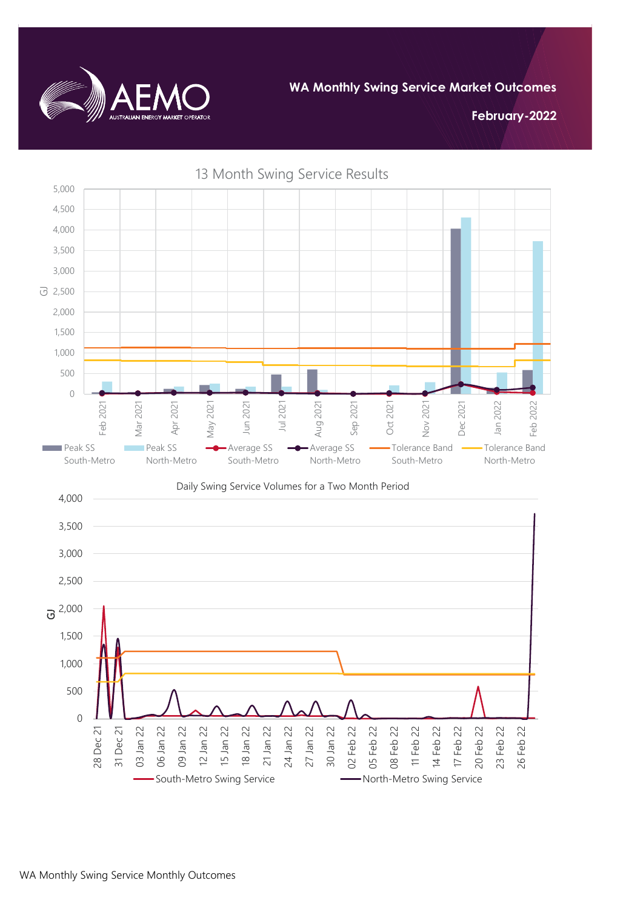

**February-2022**